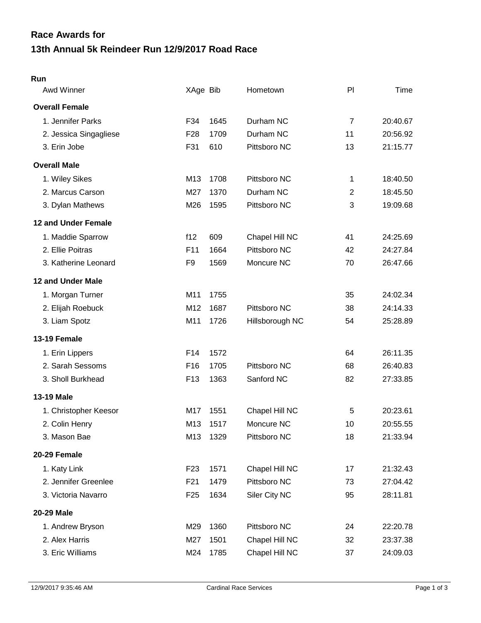## **13th Annual 5k Reindeer Run 12/9/2017 Road Race Race Awards for**

## **Run**

| Awd Winner             | XAge Bib        |      | Hometown        | PI             | Time     |
|------------------------|-----------------|------|-----------------|----------------|----------|
| <b>Overall Female</b>  |                 |      |                 |                |          |
| 1. Jennifer Parks      | F34             | 1645 | Durham NC       | $\overline{7}$ | 20:40.67 |
| 2. Jessica Singagliese | F <sub>28</sub> | 1709 | Durham NC       | 11             | 20:56.92 |
| 3. Erin Jobe           | F31             | 610  | Pittsboro NC    | 13             | 21:15.77 |
| <b>Overall Male</b>    |                 |      |                 |                |          |
| 1. Wiley Sikes         | M13             | 1708 | Pittsboro NC    | 1              | 18:40.50 |
| 2. Marcus Carson       | M27             | 1370 | Durham NC       | $\overline{c}$ | 18:45.50 |
| 3. Dylan Mathews       | M26             | 1595 | Pittsboro NC    | 3              | 19:09.68 |
| 12 and Under Female    |                 |      |                 |                |          |
| 1. Maddie Sparrow      | f12             | 609  | Chapel Hill NC  | 41             | 24:25.69 |
| 2. Ellie Poitras       | F11             | 1664 | Pittsboro NC    | 42             | 24:27.84 |
| 3. Katherine Leonard   | F <sub>9</sub>  | 1569 | Moncure NC      | 70             | 26:47.66 |
| 12 and Under Male      |                 |      |                 |                |          |
| 1. Morgan Turner       | M11             | 1755 |                 | 35             | 24:02.34 |
| 2. Elijah Roebuck      | M12             | 1687 | Pittsboro NC    | 38             | 24:14.33 |
| 3. Liam Spotz          | M11             | 1726 | Hillsborough NC | 54             | 25:28.89 |
| 13-19 Female           |                 |      |                 |                |          |
| 1. Erin Lippers        | F <sub>14</sub> | 1572 |                 | 64             | 26:11.35 |
| 2. Sarah Sessoms       | F <sub>16</sub> | 1705 | Pittsboro NC    | 68             | 26:40.83 |
| 3. Sholl Burkhead      | F <sub>13</sub> | 1363 | Sanford NC      | 82             | 27:33.85 |
| 13-19 Male             |                 |      |                 |                |          |
| 1. Christopher Keesor  | M17             | 1551 | Chapel Hill NC  | 5              | 20:23.61 |
| 2. Colin Henry         | M13             | 1517 | Moncure NC      | 10             | 20:55.55 |
| 3. Mason Bae           | M13             | 1329 | Pittsboro NC    | 18             | 21:33.94 |
| 20-29 Female           |                 |      |                 |                |          |
| 1. Katy Link           | F <sub>23</sub> | 1571 | Chapel Hill NC  | 17             | 21:32.43 |
| 2. Jennifer Greenlee   | F21             | 1479 | Pittsboro NC    | 73             | 27:04.42 |
| 3. Victoria Navarro    | F <sub>25</sub> | 1634 | Siler City NC   | 95             | 28:11.81 |
| <b>20-29 Male</b>      |                 |      |                 |                |          |
| 1. Andrew Bryson       | M29             | 1360 | Pittsboro NC    | 24             | 22:20.78 |
| 2. Alex Harris         | M27             | 1501 | Chapel Hill NC  | 32             | 23:37.38 |
| 3. Eric Williams       | M24             | 1785 | Chapel Hill NC  | 37             | 24:09.03 |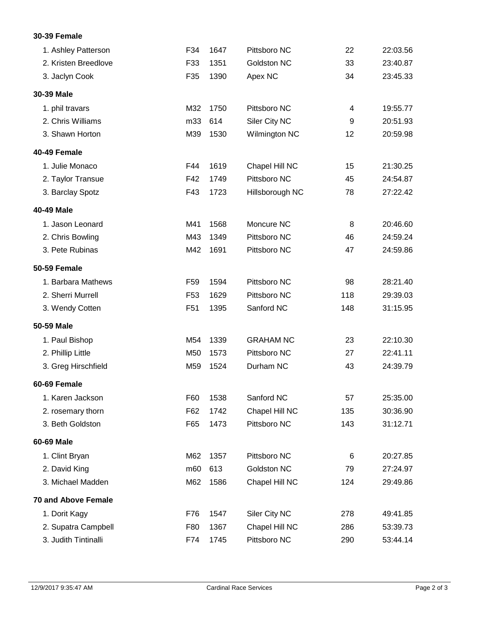## **30-39 Female**

| 1. Ashley Patterson        | F34             | 1647 | Pittsboro NC     | 22  | 22:03.56 |
|----------------------------|-----------------|------|------------------|-----|----------|
| 2. Kristen Breedlove       | F33             | 1351 | Goldston NC      | 33  | 23:40.87 |
| 3. Jaclyn Cook             | F35             | 1390 | Apex NC          | 34  | 23:45.33 |
| 30-39 Male                 |                 |      |                  |     |          |
| 1. phil travars            | M32             | 1750 | Pittsboro NC     | 4   | 19:55.77 |
| 2. Chris Williams          | m33             | 614  | Siler City NC    | 9   | 20:51.93 |
| 3. Shawn Horton            | M39             | 1530 | Wilmington NC    | 12  | 20:59.98 |
| 40-49 Female               |                 |      |                  |     |          |
| 1. Julie Monaco            | F44             | 1619 | Chapel Hill NC   | 15  | 21:30.25 |
| 2. Taylor Transue          | F42             | 1749 | Pittsboro NC     | 45  | 24:54.87 |
| 3. Barclay Spotz           | F43             | 1723 | Hillsborough NC  | 78  | 27:22.42 |
| 40-49 Male                 |                 |      |                  |     |          |
| 1. Jason Leonard           | M41             | 1568 | Moncure NC       | 8   | 20:46.60 |
| 2. Chris Bowling           | M43             | 1349 | Pittsboro NC     | 46  | 24:59.24 |
| 3. Pete Rubinas            | M42             | 1691 | Pittsboro NC     | 47  | 24:59.86 |
| 50-59 Female               |                 |      |                  |     |          |
| 1. Barbara Mathews         | F <sub>59</sub> | 1594 | Pittsboro NC     | 98  | 28:21.40 |
| 2. Sherri Murrell          | F <sub>53</sub> | 1629 | Pittsboro NC     | 118 | 29:39.03 |
| 3. Wendy Cotten            | F <sub>51</sub> | 1395 | Sanford NC       | 148 | 31:15.95 |
| 50-59 Male                 |                 |      |                  |     |          |
| 1. Paul Bishop             | M54             | 1339 | <b>GRAHAM NC</b> | 23  | 22:10.30 |
| 2. Phillip Little          | M50             | 1573 | Pittsboro NC     | 27  | 22:41.11 |
| 3. Greg Hirschfield        | M59             | 1524 | Durham NC        | 43  | 24:39.79 |
| 60-69 Female               |                 |      |                  |     |          |
| 1. Karen Jackson           | F60             | 1538 | Sanford NC       | 57  | 25:35.00 |
| 2. rosemary thorn          | F62             | 1742 | Chapel Hill NC   | 135 | 30:36.90 |
| 3. Beth Goldston           | F65             | 1473 | Pittsboro NC     | 143 | 31:12.71 |
| 60-69 Male                 |                 |      |                  |     |          |
| 1. Clint Bryan             | M62             | 1357 | Pittsboro NC     | 6   | 20:27.85 |
| 2. David King              | m60             | 613  | Goldston NC      | 79  | 27:24.97 |
| 3. Michael Madden          | M62             | 1586 | Chapel Hill NC   | 124 | 29:49.86 |
| <b>70 and Above Female</b> |                 |      |                  |     |          |
| 1. Dorit Kagy              | F76             | 1547 | Siler City NC    | 278 | 49:41.85 |
| 2. Supatra Campbell        | F80             | 1367 | Chapel Hill NC   | 286 | 53:39.73 |
| 3. Judith Tintinalli       | F74             | 1745 | Pittsboro NC     | 290 | 53:44.14 |